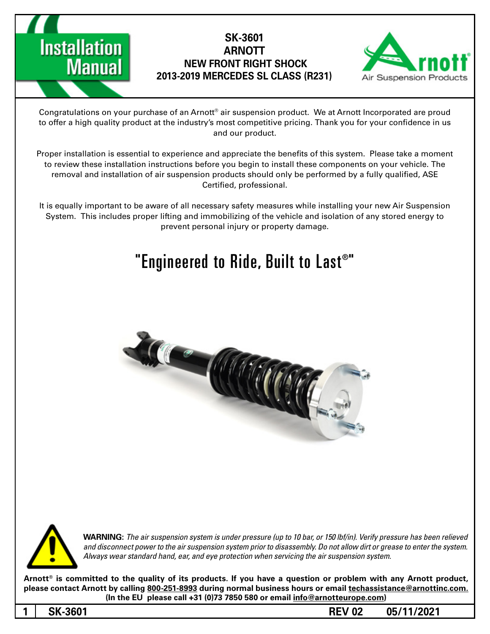



Congratulations on your purchase of an Arnott® air suspension product. We at Arnott Incorporated are proud to offer a high quality product at the industry's most competitive pricing. Thank you for your confidence in us and our product.

Proper installation is essential to experience and appreciate the benefits of this system. Please take a moment to review these installation instructions before you begin to install these components on your vehicle. The removal and installation of air suspension products should only be performed by a fully qualified, ASE Certified, professional.

It is equally important to be aware of all necessary safety measures while installing your new Air Suspension System. This includes proper lifting and immobilizing of the vehicle and isolation of any stored energy to prevent personal injury or property damage.

# "Engineered to Ride, Built to Last $^{\circ}$ "





**WARNING:** The air suspension system is under pressure (up to 10 bar, or 150 lbf/in). Verify pressure has been relieved and disconnect power to the air suspension system prior to disassembly. Do not allow dirt or grease to enter the system. Always wear standard hand, ear, and eye protection when servicing the air suspension system.

Arnott<sup>®</sup> is committed to the quality of its products. If you have a question or problem with any Arnott product, please contact Arnott by calling 800-251-8993 during normal business hours or email techassistance@arnottinc.com. (In the EU please call +31 (0)73 7850 580 or email info@arnotteurope.com)

**05/11/2021 02 REV -3601SK 1**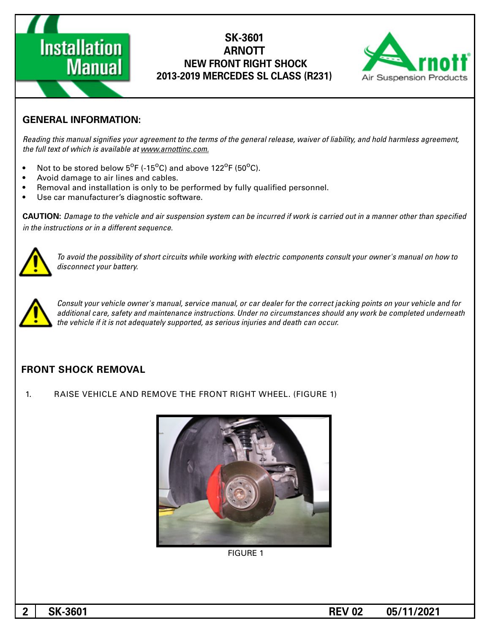



#### **GENERAL INFORMATION:**

Reading this manual signifies your agreement to the terms of the general release, waiver of liability, and hold harmless agreement, the full text of which is available at www.arnottinc.com.

- Not to be stored below 5<sup>o</sup>F (-15<sup>o</sup>C) and above 122<sup>o</sup>F (50<sup>o</sup>C).
- Avoid damage to air lines and cables.
- Removal and installation is only to be performed by fully qualified personnel.
- Use car manufacturer's diagnostic software.

**CAUTION:** Damage to the vehicle and air suspension system can be incurred if work is carried out in a manner other than specified *in the instructions or in a different sequence.* 



To avoid the possibility of short circuits while working with electric components consult your owner's manual on how to disconnect your battery.



Consult your vehicle owner's manual, service manual, or car dealer for the correct jacking points on your vehicle and for additional care, safety and maintenance instructions. Under no circumstances should any work be completed underneath the vehicle if it is not adequately supported, as serious injuries and death can occur.

#### **FRONT SHOCK REMOVAL**

1. RAISE VEHICLE AND REMOVE THE FRONT RIGHT WHEEL. (FIGURE 1)



**FIGURE 1**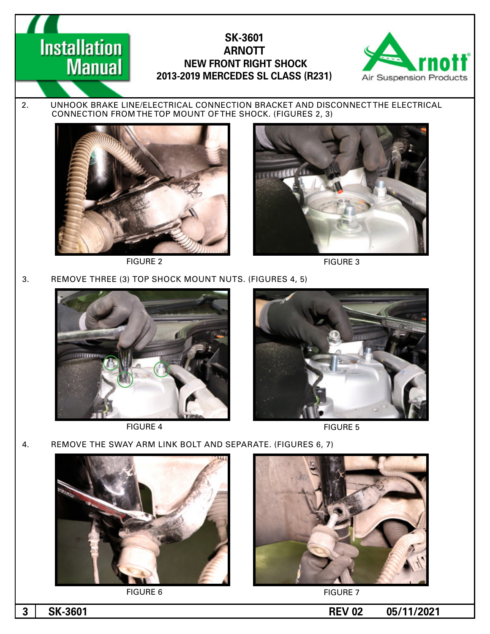

2. UNHOOK BRAKE LINE/ELECTRICAL CONNECTION BRACKET AND DISCONNECT THE ELECTRICAL CONNECTION FROM THE TOP MOUNT OF THE SHOCK. (FIGURES 2, 3)



**Installation** 

**Manual** 



FIGURE 2 FIGURE 3

3. REMOVE THREE (3) TOP SHOCK MOUNT NUTS. (FIGURES 4, 5)



FIGURE 4 FIGURE 5



4. REMOVE THE SWAY ARM LINK BOLT AND SEPARATE. (FIGURES 6, 7)



FIGURE 6 FIGURE 7



**1 05/11/2021 05/11/2021**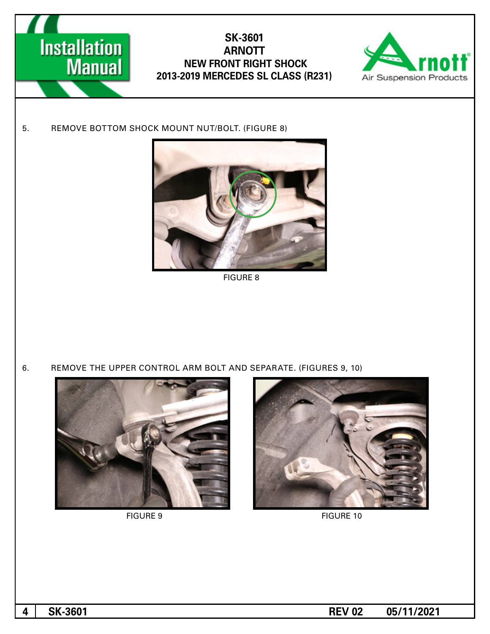

# **SK-3601 ARNOTT NEW FRONT RIGHT SHOCK 2013-2019 MERCEDES SL CLASS (R231)**



5. REMOVE BOTTOM SHOCK MOUNT NUT/BOLT. (FIGURE 8)



8 FIGURE

6. REMOVE THE UPPER CONTROL ARM BOLT AND SEPARATE. (FIGURES 9, 10)





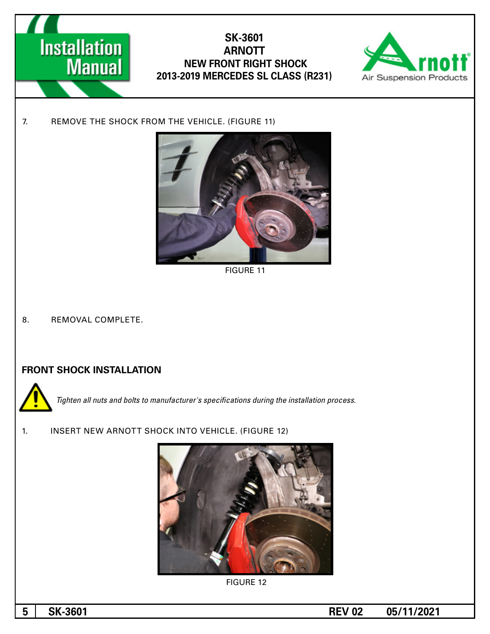



7. REMOVE THE SHOCK FROM THE VEHICLE. (FIGURE 11)



**FIGURE 11** 

8. REMOVAL COMPLETE.

#### **FRONT SHOCK INSTALLATION**



**Tighten all nuts and bolts to manufacturer's specifications during the installation process.** 

1. INSERT NEW ARNOTT SHOCK INTO VEHICLE. (FIGURE 12)



**FIGURE 12** 

**1 02 05/11/2021 03.11/2021**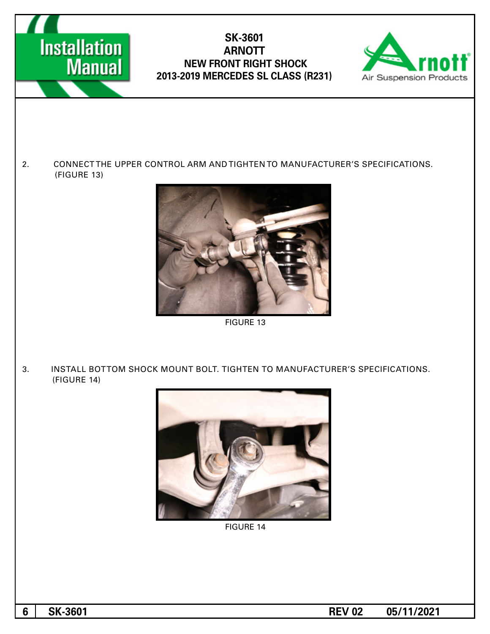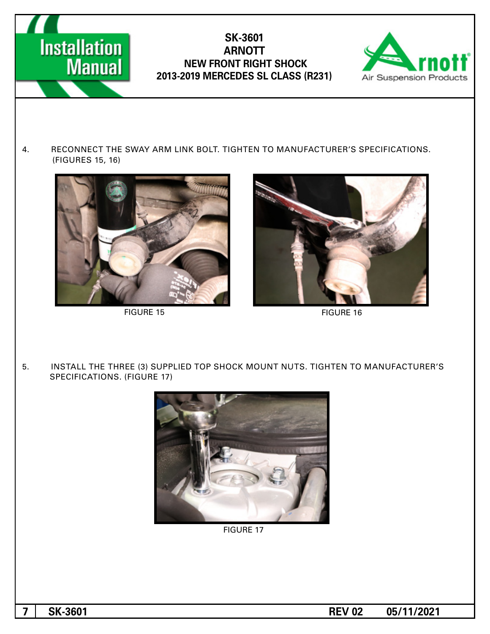



4. RECONNECT THE SWAY ARM LINK BOLT. TIGHTEN TO MANUFACTURER'S SPECIFICATIONS. (FIGURES 15, 16)



FIGURE 15 FIGURE 16



5. INSTALL THE THREE (3) SUPPLIED TOP SHOCK MOUNT NUTS. TIGHTEN TO MANUFACTURER'S SPECIFICATIONS. (FIGURE 17)



**FIGURE 17** 

**1 02 05/11/2021 02 <b>REV 02 05/11/2021**